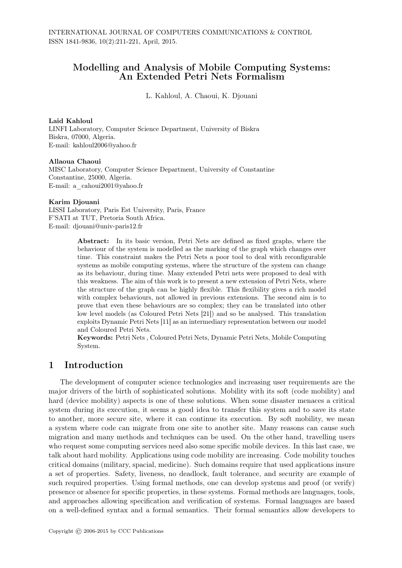## Modelling and Analysis of Mobile Computing Systems: An Extended Petri Nets Formalism

L. Kahloul, A. Chaoui, K. Djouani

#### Laid Kahloul

LINFI Laboratory, Computer Science Department, University of Biskra Biskra, 07000, Algeria. E-mail: kahloul2006@yahoo.fr

#### Allaoua Chaoui

MISC Laboratory, Computer Science Department, University of Constantine Constantine, 25000, Algeria. E-mail: a\_cahoui2001@yahoo.fr

#### Karim Djouani

LISSI Laboratory, Paris Est University, Paris, France F'SATI at TUT, Pretoria South Africa. E-mail: djouani@univ-paris12.fr

> Abstract: In its basic version, Petri Nets are defined as fixed graphs, where the behaviour of the system is modelled as the marking of the graph which changes over time. This constraint makes the Petri Nets a poor tool to deal with reconfigurable systems as mobile computing systems, where the structure of the system can change as its behaviour, during time. Many extended Petri nets were proposed to deal with this weakness. The aim of this work is to present a new extension of Petri Nets, where the structure of the graph can be highly flexible. This flexibility gives a rich model with complex behaviours, not allowed in previous extensions. The second aim is to prove that even these behaviours are so complex; they can be translated into other low level models (as Coloured Petri Nets [21]) and so be analysed. This translation exploits Dynamic Petri Nets [11] as an intermediary representation between our model and Coloured Petri Nets.

> Keywords: Petri Nets , Coloured Petri Nets, Dynamic Petri Nets, Mobile Computing System.

# 1 Introduction

The development of computer science technologies and increasing user requirements are the major drivers of the birth of sophisticated solutions. Mobility with its soft (code mobility) and hard (device mobility) aspects is one of these solutions. When some disaster menaces a critical system during its execution, it seems a good idea to transfer this system and to save its state to another, more secure site, where it can continue its execution. By soft mobility, we mean a system where code can migrate from one site to another site. Many reasons can cause such migration and many methods and techniques can be used. On the other hand, travelling users who request some computing services need also some specific mobile devices. In this last case, we talk about hard mobility. Applications using code mobility are increasing. Code mobility touches critical domains (military, spacial, medicine). Such domains require that used applications insure a set of properties. Safety, liveness, no deadlock, fault tolerance, and security are example of such required properties. Using formal methods, one can develop systems and proof (or verify) presence or absence for specific properties, in these systems. Formal methods are languages, tools, and approaches allowing specification and verification of systems. Formal languages are based on a well-defined syntax and a formal semantics. Their formal semantics allow developers to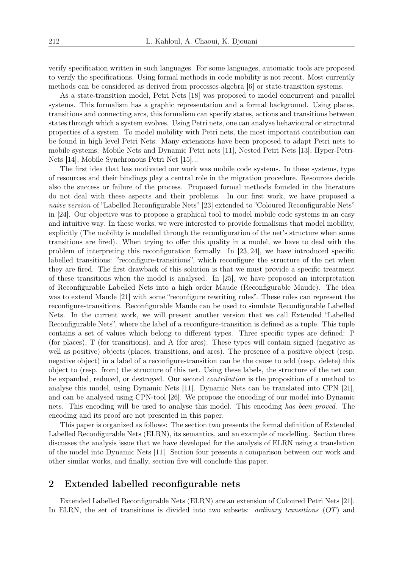verify specification written in such languages. For some languages, automatic tools are proposed to verify the specifications. Using formal methods in code mobility is not recent. Most currently methods can be considered as derived from processes-algebra [6] or state-transition systems.

As a state-transition model, Petri Nets [18] was proposed to model concurrent and parallel systems. This formalism has a graphic representation and a formal background. Using places, transitions and connecting arcs, this formalism can specify states, actions and transitions between states through which a system evolves. Using Petri nets, one can analyse behavioural or structural properties of a system. To model mobility with Petri nets, the most important contribution can be found in high level Petri Nets. Many extensions have been proposed to adapt Petri nets to mobile systems: Mobile Nets and Dynamic Petri nets [11], Nested Petri Nets [13], Hyper-Petri-Nets [14], Mobile Synchronous Petri Net [15]...

The first idea that has motivated our work was mobile code systems. In these systems, type of resources and their bindings play a central role in the migration procedure. Resources decide also the success or failure of the process. Proposed formal methods founded in the literature do not deal with these aspects and their problems. In our first work, we have proposed a *naive version* of "Labelled Reconfigurable Nets" [23] extended to "Coloured Reconfigurable Nets" in [24]. Our objective was to propose a graphical tool to model mobile code systems in an easy and intuitive way. In these works, we were interested to provide formalisms that model mobility, explicitly (The mobility is modelled through the reconfiguration of the net's structure when some transitions are fired). When trying to offer this quality in a model, we have to deal with the problem of interpreting this reconfiguration formally. In [23, 24], we have introduced specific labelled transitions: "reconfigure-transitions", which reconfigure the structure of the net when they are fired. The first drawback of this solution is that we must provide a specific treatment of these transitions when the model is analysed. In [25], we have proposed an interpretation of Reconfigurable Labelled Nets into a high order Maude (Reconfigurable Maude). The idea was to extend Maude [21] with some "reconfigure rewriting rules". These rules can represent the reconfigure-transitions. Reconfigurable Maude can be used to simulate Reconfigurable Labelled Nets. In the current work, we will present another version that we call Extended "Labelled Reconfigurable Nets", where the label of a reconfigure-transition is defined as a tuple. This tuple contains a set of values which belong to different types. Three specific types are defined: P (for places), T (for transitions), and A (for arcs). These types will contain signed (negative as well as positive) objects (places, transitions, and arcs). The presence of a positive object (resp. negative object) in a label of a reconfigure-transition can be the cause to add (resp. delete) this object to (resp. from) the structure of this net. Using these labels, the structure of the net can be expanded, reduced, or destroyed. Our second *contribution* is the proposition of a method to analyse this model, using Dynamic Nets [11]. Dynamic Nets can be translated into CPN [21], and can be analysed using CPN-tool [26]. We propose the encoding of our model into Dynamic nets. This encoding will be used to analyse this model. This encoding *has been proved*. The encoding and its proof are not presented in this paper.

This paper is organized as follows: The section two presents the formal definition of Extended Labelled Reconfigurable Nets (ELRN), its semantics, and an example of modelling. Section three discusses the analysis issue that we have developed for the analysis of ELRN using a translation of the model into Dynamic Nets [11]. Section four presents a comparison between our work and other similar works, and finally, section five will conclude this paper.

### 2 Extended labelled reconfigurable nets

Extended Labelled Reconfigurable Nets (ELRN) are an extension of Coloured Petri Nets [21]. In ELRN, the set of transitions is divided into two subsets: *ordinary transitions* (*OT*) and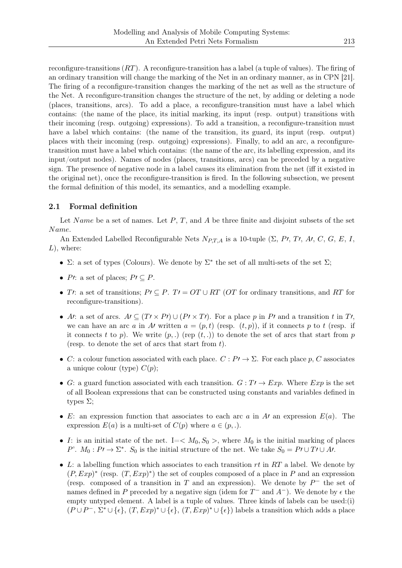reconfigure-transitions (*RT*). A reconfigure-transition has a label (a tuple of values). The firing of an ordinary transition will change the marking of the Net in an ordinary manner, as in CPN [21]. The firing of a reconfigure-transition changes the marking of the net as well as the structure of the Net. A reconfigure-transition changes the structure of the net, by adding or deleting a node (places, transitions, arcs). To add a place, a reconfigure-transition must have a label which contains: (the name of the place, its initial marking, its input (resp. output) transitions with their incoming (resp. outgoing) expressions). To add a transition, a reconfigure-transition must have a label which contains: (the name of the transition, its guard, its input (resp. output) places with their incoming (resp. outgoing) expressions). Finally, to add an arc, a reconfiguretransition must have a label which contains: (the name of the arc, its labelling expression, and its input/output nodes). Names of nodes (places, transitions, arcs) can be preceded by a negative sign. The presence of negative node in a label causes its elimination from the net (iff it existed in the original net), once the reconfigure-transition is fired. In the following subsection, we present the formal definition of this model, its semantics, and a modelling example.

### 2.1 Formal definition

Let *N ame* be a set of names. Let *P*, *T*, and *A* be three finite and disjoint subsets of the set *N ame*.

An Extended Labelled Reconfigurable Nets *NP,T,A* is a 10-tuple (Σ, *P′*, *T′*, *A′*, *C*, *G*, *E*, *I*, *L*), where:

- $\Sigma$ : a set of types (Colours). We denote by  $\Sigma^*$  the set of all multi-sets of the set  $\Sigma$ ;
- *P′*: a set of places;  $P$ *′*  $\subseteq$  *P*.
- *T′*: a set of transitions;  $P$ *′*  $\subseteq$  *P*.  $T$ *′* =  $OT \cup RT$  ( $OT$  for ordinary transitions, and  $RT$  for reconfigure-transitions).
- At a set of arcs.  $A \subseteq (T \times P) \cup (P \times T)$ . For a place p in P and a transition t in T', we can have an arc *a* in *A'* written  $a = (p, t)$  (resp.  $(t, p)$ ), if it connects *p* to *t* (resp. if it connects  $t$  to  $p$ ). We write  $(p,.)$  (rep  $(t,.)$ ) to denote the set of arcs that start from  $p$ (resp. to denote the set of arcs that start from *t*).
- *C*: a colour function associated with each place.  $C: P \rightarrow \Sigma$ . For each place *p*, *C* associates a unique colour (type)  $C(p)$ ;
- *G*: a guard function associated with each transition.  $G: T \rightarrow Exp$ . Where  $Exp$  is the set of all Boolean expressions that can be constructed using constants and variables defined in types  $\Sigma$ ;
- *E*: an expression function that associates to each arc *a* in *A′* an expression *E*(*a*). The expression  $E(a)$  is a multi-set of  $C(p)$  where  $a \in (p, .)$ .
- *I*: is an initial state of the net. I= $\lt M_0, S_0$ , where  $M_0$  is the initial marking of places *P*'. *M*<sub>0</sub> : *P′*  $\rightarrow$   $\Sigma^*$ . *S*<sub>0</sub> is the initial structure of the net. We take  $S_0 = P$ *′*  $\cup$  *T′*  $\cup$  *A'*.
- *L*: a labelling function which associates to each transition *rt* in *RT* a label. We denote by  $(P, Exp)^*$  (resp.  $(T, Exp)^*$ ) the set of couples composed of a place in *P* and an expression (resp. composed of a transition in *T* and an expression). We denote by  $P^-$  the set of names defined in *P* preceded by a negative sign (idem for *T −* and *A−*). We denote by *ϵ* the empty untyped element. A label is a tuple of values. Three kinds of labels can be used:(i)  $(P\cup P^-, \Sigma^* \cup {\epsilon}, (T, Exp)^* \cup {\epsilon}, (T, Exp)^* \cup {\epsilon})$  labels a transition which adds a place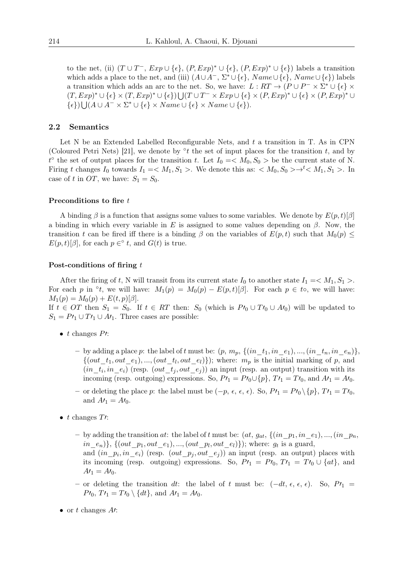to the net, (ii)  $(T \cup T^{-}, Exp \cup {\epsilon}, (P, Exp)^* \cup {\epsilon}, (P, Exp)^* \cup {\epsilon})$  labels a transition which adds a place to the net, and (iii)  $(A \cup A^{-}, \Sigma^{*} \cup \{\epsilon\}, \textit{Name} \cup \{\epsilon\}, \textit{Name} \cup \{\epsilon\})$  labels a transition which adds an arc to the net. So, we have:  $L: RT \to (P \cup P^- \times \Sigma^* \cup \{\epsilon\} \times$  $(T, Exp)^* \cup \{\epsilon\} \times (T, Exp)^* \cup \{\epsilon\} \cup (T \cup T^- \times Exp \cup \{\epsilon\} \times (P, Exp)^* \cup \{\epsilon\} \times (P, Exp)^* \cup$  $\{\epsilon\}$ )  $\bigcup (A \cup A^{-} \times \Sigma^{*} \cup \{\epsilon\} \times Name \cup \{\epsilon\} \times Name \cup \{\epsilon\}).$ 

#### 2.2 Semantics

Let N be an Extended Labelled Reconfigurable Nets, and *t* a transition in T. As in CPN (Coloured Petri Nets) [21], we denote by *◦ t* the set of input places for the transition *t*, and by  $t^{\circ}$  the set of output places for the transition *t*. Let  $I_0 = \langle M_0, S_0 \rangle$  be the current state of N. Firing *t* changes  $I_0$  towards  $I_1 = \langle M_1, S_1 \rangle$ . We denote this as:  $\langle M_0, S_0 \rangle \rightarrow t \langle M_1, S_1 \rangle$ . In case of *t* in *OT*, we have:  $S_1 = S_0$ .

#### Preconditions to fire *t*

A binding  $\beta$  is a function that assigns some values to some variables. We denote by  $E(p,t)[\beta]$ a binding in which every variable in *E* is assigned to some values depending on *β*. Now, the transition *t* can be fired iff there is a binding  $\beta$  on the variables of  $E(p, t)$  such that  $M_0(p)$  $E(p,t)[\beta]$ , for each  $p \in \circ t$ , and  $G(t)$  is true.

### Post-conditions of firing *t*

After the firing of *t*, N will transit from its current state  $I_0$  to another state  $I_1 = \langle M_1, S_1 \rangle$ . For each *p* in  $\degree t$ , we will have:  $M_1(p) = M_0(p) - E(p, t)[\beta]$ . For each  $p \in t \circ$ , we will have:  $M_1(p) = M_0(p) + E(t, p)[\beta].$ 

If  $t \in OT$  then  $S_1 = S_0$ . If  $t \in RT$  then:  $S_0$  (which is  $P' \cup T' \cup A' \cup A'$ ) will be updated to  $S_1 = P \prime_1 \cup T \prime_1 \cup A \prime_1$ . Three cases are possible:

- *t* changes *P′*:
	- by adding a place p: the label of t must be:  $(p, m_p, \{(in_t, in_e), ..., (in_t, in_e, n, e_n)\},$  $\{(out\_t_1, out\_e_1), ..., (out\_t_l, out\_e_l)\}\)$ ; where:  $m_p$  is the initial marking of *p*, and  $(in\_t_i, in\_e_i)$  (resp.  $(out\_t_j, out\_e_j))$  an input (resp. an output) transition with its incoming (resp. outgoing) expressions. So,  $P'$ <sup>1</sup> $= P'$ <sup>0</sup> $\cup$ { $p$ }*, T*<sup> $j$ </sup> $\in$  $T'$ <sub>0</sub>, and  $A'$ <sup>1</sup> $= A'$ <sup>0</sup>.
	- or deleting the place *p*: the label must be (*−p, ϵ, ϵ, ϵ*). So, *P′*<sup>1</sup> = *P′*<sup>0</sup> *\{p}, T′*<sup>1</sup> = *T′*0, and  $A'_{1} = A'_{0}$ .
- *t* changes *T′*:
	- $-$  by adding the transition *at*: the label of *t* must be:  $(at, g_{at}, \{(in\_p_1, in\_e_1), ..., (in\_p_n, \dots, in\_p_n)\})$  $in\_e_n$ )<sup>}</sup>, {(*out*<sub>\_</sub>*p*<sub>1</sub>*, out*<sub>\_</sub>*e*<sub>1</sub>)*, ...,*(*out*<sub>\_*pl*</sub>*, out*<sub>\_*el*</sub>)}); where: *g<sub>t</sub>* is a guard, and  $(in\_p_i, in\_e_i)$  (resp.  $(out\_p_j, out\_e_j))$  an input (resp. an output) places with its incoming (resp. outgoing) expressions. So,  $P'$ <sup>1</sup> =  $P'$ <sup>0</sup>,  $T'$ <sup>1</sup> =  $T'$ <sup>0</sup>  $\cup$   $\{at\}$ <sup>2</sup>, and
	- or deleting the transition *dt*: the label of *t* must be: (*−dt, ϵ, ϵ, ϵ*). So, *P′*<sup>1</sup> = *P*<sup>*′*</sup><sub>0</sub>*, T*<sup>*′*</sup><sub>1</sub> = *T*<sup>*′*</sup><sub>0</sub></sub>  $\setminus \{dt\}$ *,* and  $A<sup>′</sup>$ <sub>1</sub> =  $A<sup>′</sup>$ <sub>0</sub>.
- or *t* changes *A′*:

 $A'_{1} = A'_{0}.$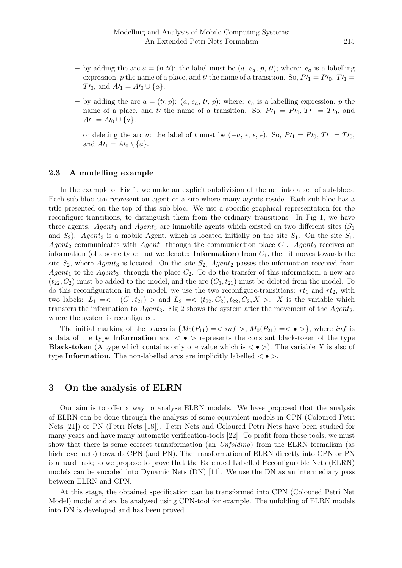- by adding the arc  $a = (p, t)$ : the label must be  $(a, e_a, p, t)$ ; where:  $e_a$  is a labelling expression, *p* the name of a place, and *t'* the name of a transition. So,  $P'$ <sup>1</sup> $= P'$ <sup>0</sup>,  $T'$ <sup>1</sup> $=$ *T*<sup>*′*</sup><sub>0</sub>, and  $A'$ <sup>1</sup> =  $A'$ <sup>0</sup> $\cup$  {*a*}.
- by adding the arc  $a = (t^{\prime}, p)$ :  $(a, e_a, t^{\prime}, p)$ ; where:  $e_a$  is a labelling expression, p the name of a place, and *tl* the name of a transition. So,  $PI_1 = PI_0$ ,  $TI_1 = Ti_0$ , and  $A'_{1} = A'_{0} \cup \{a\}.$
- or deleting the arc *a*: the label of *t* must be (*−a, ϵ, ϵ, ϵ*). So, *P′*<sup>1</sup> = *P′*0*, T′*<sup>1</sup> = *T′*0, and  $A\prime_1 = A\prime_0 \setminus \{a\}.$

### 2.3 A modelling example

In the example of Fig 1, we make an explicit subdivision of the net into a set of sub-blocs. Each sub-bloc can represent an agent or a site where many agents reside. Each sub-bloc has a title presented on the top of this sub-bloc. We use a specific graphical representation for the reconfigure-transitions, to distinguish them from the ordinary transitions. In Fig 1, we have three agents. *Agent*<sub>1</sub> and *Agent*<sub>3</sub> are immobile agents which existed on two different sites  $(S_1)$ and  $S_2$ ). *Agent*<sub>2</sub> is a mobile Agent, which is located initially on the site  $S_1$ . On the site  $S_1$ , *Agent*<sub>2</sub> communicates with *Agent*<sub>1</sub> through the communication place  $C_1$ . *Agent*<sub>2</sub> receives an information (of a some type that we denote: **Information**) from  $C_1$ , then it moves towards the site  $S_2$ , where *Agent*<sub>3</sub> is located. On the site  $S_2$ , *Agent*<sub>2</sub> passes the information received from *Agent*<sub>1</sub> to the *Agent*<sub>3</sub>, through the place  $C_2$ . To do the transfer of this information, a new arc  $(t_{22}, C_2)$  must be added to the model, and the arc  $(C_1, t_{21})$  must be deleted from the model. To do this reconfiguration in the model, we use the two reconfigure-transitions:  $rt_1$  and  $rt_2$ , with two labels:  $L_1 = \langle -(C_1, t_{21}) \rangle$  and  $L_2 = \langle (t_{22}, C_2), t_{22}, C_2, X \rangle$ . *X* is the variable which transfers the information to *Agent*3. Fig 2 shows the system after the movement of the *Agent*2, where the system is reconfigured.

The initial marking of the places is  $\{M_0(P_{11}) = \langle inf \rangle, M_0(P_{21}) = \langle \bullet \rangle\}$ , where *inf* is a data of the type Information and *< • >* represents the constant black-token of the type **Black-token** (A type which contains only one value which is  $\langle \bullet \rangle$ ). The variable X is also of type Information. The non-labelled arcs are implicitly labelled *< • >*.

## 3 On the analysis of ELRN

Our aim is to offer a way to analyse ELRN models. We have proposed that the analysis of ELRN can be done through the analysis of some equivalent models in CPN (Coloured Petri Nets [21]) or PN (Petri Nets [18]). Petri Nets and Coloured Petri Nets have been studied for many years and have many automatic verification-tools [22]. To profit from these tools, we must show that there is some correct transformation (an *Unfolding*) from the ELRN formalism (as high level nets) towards CPN (and PN). The transformation of ELRN directly into CPN or PN is a hard task; so we propose to prove that the Extended Labelled Reconfigurable Nets (ELRN) models can be encoded into Dynamic Nets (DN) [11]. We use the DN as an intermediary pass between ELRN and CPN.

At this stage, the obtained specification can be transformed into CPN (Coloured Petri Net Model) model and so, be analysed using CPN-tool for example. The unfolding of ELRN models into DN is developed and has been proved.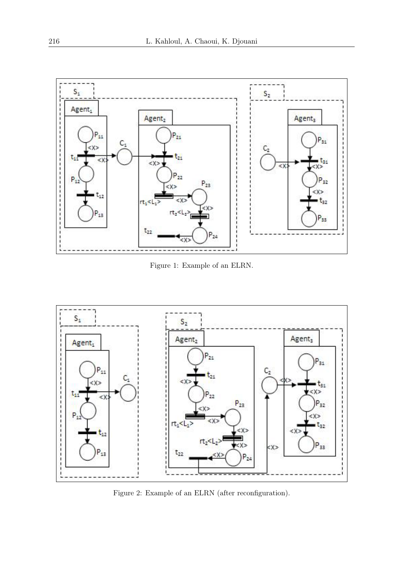

Figure 1: Example of an ELRN.



Figure 2: Example of an ELRN (after reconfiguration).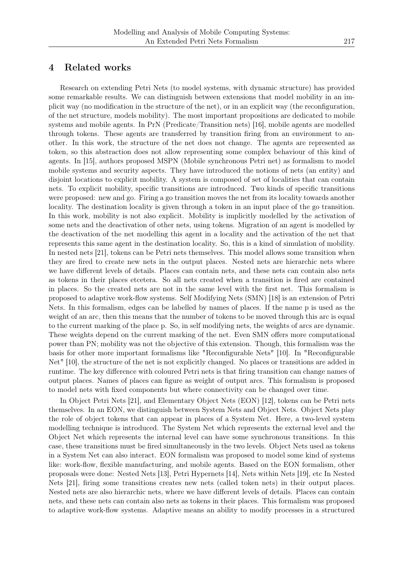### 4 Related works

Research on extending Petri Nets (to model systems, with dynamic structure) has provided some remarkable results. We can distinguish between extensions that model mobility in an implicit way (no modification in the structure of the net), or in an explicit way (the reconfiguration, of the net structure, models mobility). The most important propositions are dedicated to mobile systems and mobile agents. In PrN (Predicate/Transition nets) [16], mobile agents are modelled through tokens. These agents are transferred by transition firing from an environment to another. In this work, the structure of the net does not change. The agents are represented as token, so this abstraction does not allow representing some complex behaviour of this kind of agents. In [15], authors proposed MSPN (Mobile synchronous Petri net) as formalism to model mobile systems and security aspects. They have introduced the notions of nets (an entity) and disjoint locations to explicit mobility. A system is composed of set of localities that can contain nets. To explicit mobility, specific transitions are introduced. Two kinds of specific transitions were proposed: new and go. Firing a go transition moves the net from its locality towards another locality. The destination locality is given through a token in an input place of the go transition. In this work, mobility is not also explicit. Mobility is implicitly modelled by the activation of some nets and the deactivation of other nets, using tokens. Migration of an agent is modelled by the deactivation of the net modelling this agent in a locality and the activation of the net that represents this same agent in the destination locality. So, this is a kind of simulation of mobility. In nested nets [21], tokens can be Petri nets themselves. This model allows some transition when they are fired to create new nets in the output places. Nested nets are hierarchic nets where we have different levels of details. Places can contain nets, and these nets can contain also nets as tokens in their places etcetera. So all nets created when a transition is fired are contained in places. So the created nets are not in the same level with the first net. This formalism is proposed to adaptive work-flow systems. Self Modifying Nets (SMN) [18] is an extension of Petri Nets. In this formalism, edges can be labelled by names of places. If the name p is used as the weight of an arc, then this means that the number of tokens to be moved through this arc is equal to the current marking of the place p. So, in self modifying nets, the weights of arcs are dynamic. These weights depend on the current marking of the net. Even SMN offers more computational power than PN; mobility was not the objective of this extension. Though, this formalism was the basis for other more important formalisms like "Reconfigurable Nets" [10]. In "Reconfigurable Net" [10], the structure of the net is not explicitly changed. No places or transitions are added in runtime. The key difference with coloured Petri nets is that firing transition can change names of output places. Names of places can figure as weight of output arcs. This formalism is proposed to model nets with fixed components but where connectivity can be changed over time.

In Object Petri Nets [21], and Elementary Object Nets (EON) [12], tokens can be Petri nets themselves. In an EON, we distinguish between System Nets and Object Nets. Object Nets play the role of object tokens that can appear in places of a System Net. Here, a two-level system modelling technique is introduced. The System Net which represents the external level and the Object Net which represents the internal level can have some synchronous transitions. In this case, these transitions must be fired simultaneously in the two levels. Object Nets used as tokens in a System Net can also interact. EON formalism was proposed to model some kind of systems like: work-flow, flexible manufacturing, and mobile agents. Based on the EON formalism, other proposals were done: Nested Nets [13], Petri Hypernets [14], Nets within Nets [19], etc In Nested Nets [21], firing some transitions creates new nets (called token nets) in their output places. Nested nets are also hierarchic nets, where we have different levels of details. Places can contain nets, and these nets can contain also nets as tokens in their places. This formalism was proposed to adaptive work-flow systems. Adaptive means an ability to modify processes in a structured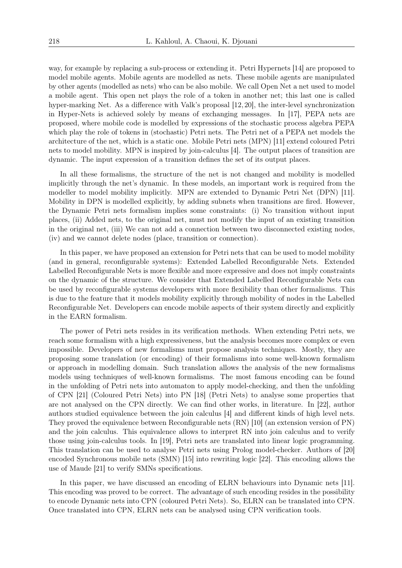way, for example by replacing a sub-process or extending it. Petri Hypernets [14] are proposed to model mobile agents. Mobile agents are modelled as nets. These mobile agents are manipulated by other agents (modelled as nets) who can be also mobile. We call Open Net a net used to model a mobile agent. This open net plays the role of a token in another net; this last one is called hyper-marking Net. As a difference with Valk's proposal [12,20], the inter-level synchronization in Hyper-Nets is achieved solely by means of exchanging messages. In [17], PEPA nets are proposed, where mobile code is modelled by expressions of the stochastic process algebra PEPA which play the role of tokens in (stochastic) Petri nets. The Petri net of a PEPA net models the architecture of the net, which is a static one. Mobile Petri nets (MPN) [11] extend coloured Petri nets to model mobility. MPN is inspired by join-calculus [4]. The output places of transition are dynamic. The input expression of a transition defines the set of its output places.

In all these formalisms, the structure of the net is not changed and mobility is modelled implicitly through the net's dynamic. In these models, an important work is required from the modeller to model mobility implicitly. MPN are extended to Dynamic Petri Net (DPN) [11]. Mobility in DPN is modelled explicitly, by adding subnets when transitions are fired. However, the Dynamic Petri nets formalism implies some constraints: (i) No transition without input places, (ii) Added nets, to the original net, must not modify the input of an existing transition in the original net, (iii) We can not add a connection between two disconnected existing nodes, (iv) and we cannot delete nodes (place, transition or connection).

In this paper, we have proposed an extension for Petri nets that can be used to model mobility (and in general, reconfigurable systems): Extended Labelled Reconfigurable Nets. Extended Labelled Reconfigurable Nets is more flexible and more expressive and does not imply constraints on the dynamic of the structure. We consider that Extended Labelled Reconfigurable Nets can be used by reconfigurable systems developers with more flexibility than other formalisms. This is due to the feature that it models mobility explicitly through mobility of nodes in the Labelled Reconfigurable Net. Developers can encode mobile aspects of their system directly and explicitly in the EARN formalism.

The power of Petri nets resides in its verification methods. When extending Petri nets, we reach some formalism with a high expressiveness, but the analysis becomes more complex or even impossible. Developers of new formalisms must propose analysis techniques. Mostly, they are proposing some translation (or encoding) of their formalisms into some well-known formalism or approach in modelling domain. Such translation allows the analysis of the new formalisms models using techniques of well-known formalisms. The most famous encoding can be found in the unfolding of Petri nets into automaton to apply model-checking, and then the unfolding of CPN [21] (Coloured Petri Nets) into PN [18] (Petri Nets) to analyse some properties that are not analysed on the CPN directly. We can find other works, in literature. In [22], author authors studied equivalence between the join calculus [4] and different kinds of high level nets. They proved the equivalence between Reconfigurable nets (RN) [10] (an extension version of PN) and the join calculus. This equivalence allows to interpret RN into join calculus and to verify those using join-calculus tools. In [19], Petri nets are translated into linear logic programming. This translation can be used to analyse Petri nets using Prolog model-checker. Authors of [20] encoded Synchronous mobile nets (SMN) [15] into rewriting logic [22]. This encoding allows the use of Maude [21] to verify SMNs specifications.

In this paper, we have discussed an encoding of ELRN behaviours into Dynamic nets [11]. This encoding was proved to be correct. The advantage of such encoding resides in the possibility to encode Dynamic nets into CPN (coloured Petri Nets). So, ELRN can be translated into CPN. Once translated into CPN, ELRN nets can be analysed using CPN verification tools.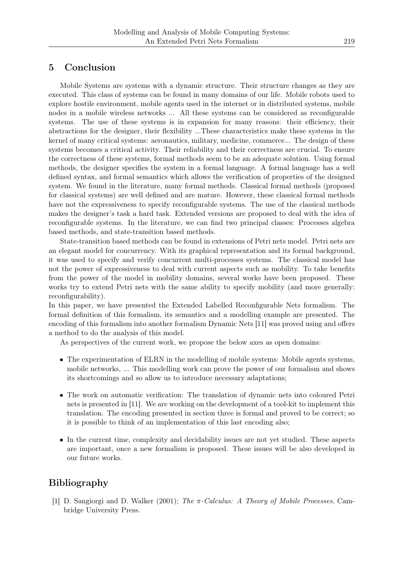## 5 Conclusion

Mobile Systems are systems with a dynamic structure. Their structure changes as they are executed. This class of systems can be found in many domains of our life. Mobile robots used to explore hostile environment, mobile agents used in the internet or in distributed systems, mobile nodes in a mobile wireless networks ... All these systems can be considered as reconfigurable systems. The use of these systems is in expansion for many reasons: their efficiency, their abstractions for the designer, their flexibility ...These characteristics make these systems in the kernel of many critical systems: aeronautics, military, medicine, commerce... The design of these systems becomes a critical activity. Their reliability and their correctness are crucial. To ensure the correctness of these systems, formal methods seem to be an adequate solution. Using formal methods, the designer specifies the system in a formal language. A formal language has a well defined syntax, and formal semantics which allows the verification of properties of the designed system. We found in the literature, many formal methods. Classical formal methods (proposed for classical systems) are well defined and are mature. However, these classical formal methods have not the expressiveness to specify reconfigurable systems. The use of the classical methods makes the designer's task a hard task. Extended versions are proposed to deal with the idea of reconfigurable systems. In the literature, we can find two principal classes: Processes algebra based methods, and state-transition based methods.

State-transition based methods can be found in extensions of Petri nets model. Petri nets are an elegant model for concurrency. With its graphical representation and its formal background, it was used to specify and verify concurrent multi-processes systems. The classical model has not the power of expressiveness to deal with current aspects such as mobility. To take benefits from the power of the model in mobility domains, several works have been proposed. These works try to extend Petri nets with the same ability to specify mobility (and more generally: reconfigurability).

In this paper, we have presented the Extended Labelled Reconfigurable Nets formalism. The formal definition of this formalism, its semantics and a modelling example are presented. The encoding of this formalism into another formalism Dynamic Nets [11] was proved using and offers a method to do the analysis of this model.

As perspectives of the current work, we propose the below axes as open domains:

- The experimentation of ELRN in the modelling of mobile systems: Mobile agents systems, mobile networks, ... This modelling work can prove the power of our formalism and shows its shortcomings and so allow us to introduce necessary adaptations;
- The work on automatic verification: The translation of dynamic nets into coloured Petri nets is presented in [11]. We are working on the development of a tool-kit to implement this translation. The encoding presented in section three is formal and proved to be correct; so it is possible to think of an implementation of this last encoding also;
- In the current time, complexity and decidability issues are not yet studied. These aspects are important, once a new formalism is proposed. These issues will be also developed in our future works.

# Bibliography

[1] D. Sangiorgi and D. Walker (2001); *The π-Calculus: A Theory of Mobile Processes*, Cambridge University Press.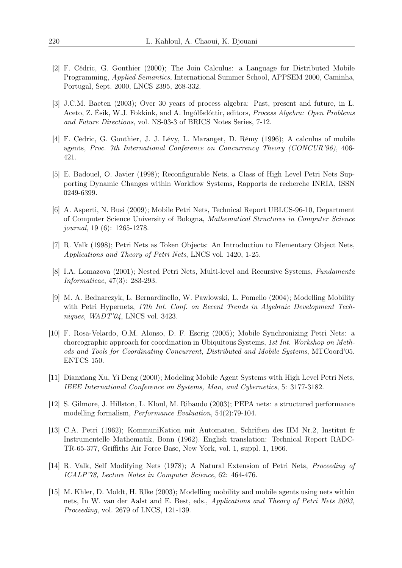- [2] F. Cédric, G. Gonthier (2000); The Join Calculus: a Language for Distributed Mobile Programming, *Applied Semantics*, International Summer School, APPSEM 2000, Caminha, Portugal, Sept. 2000, LNCS 2395, 268-332.
- [3] J.C.M. Baeten (2003); Over 30 years of process algebra: Past, present and future, in L. Aceto, Z. Ésik, W.J. Fokkink, and A. Ingólfsdóttir, editors, *Process Algebra: Open Problems and Future Directions*, vol. NS-03-3 of BRICS Notes Series, 7-12.
- [4] F. Cédric, G. Gonthier, J. J. Lévy, L. Maranget, D. Rémy (1996); A calculus of mobile agents, *Proc. 7th International Conference on Concurrency Theory (CONCUR'96)*, 406- 421.
- [5] E. Badouel, O. Javier (1998); Reconfigurable Nets, a Class of High Level Petri Nets Supporting Dynamic Changes within Workflow Systems, Rapports de recherche INRIA, ISSN 0249-6399.
- [6] A. Asperti, N. Busi (2009); Mobile Petri Nets, Technical Report UBLCS-96-10, Department of Computer Science University of Bologna, *Mathematical Structures in Computer Science journal*, 19 (6): 1265-1278.
- [7] R. Valk (1998); Petri Nets as Token Objects: An Introduction to Elementary Object Nets, *Applications and Theory of Petri Nets*, LNCS vol. 1420, 1-25.
- [8] I.A. Lomazova (2001); Nested Petri Nets, Multi-level and Recursive Systems, *Fundamenta Informaticae*, 47(3): 283-293.
- [9] M. A. Bednarczyk, L. Bernardinello, W. Pawlowski, L. Pomello (2004); Modelling Mobility with Petri Hypernets, *17th Int. Conf. on Recent Trends in Algebraic Development Techniques, WADT'04*, LNCS vol. 3423.
- [10] F. Rosa-Velardo, O.M. Alonso, D. F. Escrig (2005); Mobile Synchronizing Petri Nets: a choreographic approach for coordination in Ubiquitous Systems, *1st Int. Workshop on Methods and Tools for Coordinating Concurrent, Distributed and Mobile Systems*, MTCoord'05. ENTCS 150.
- [11] Dianxiang Xu, Yi Deng (2000); Modeling Mobile Agent Systems with High Level Petri Nets, *IEEE International Conference on Systems, Man, and Cybernetics*, 5: 3177-3182.
- [12] S. Gilmore, J. Hillston, L. Kloul, M. Ribaudo (2003); PEPA nets: a structured performance modelling formalism, *Performance Evaluation*, 54(2):79-104.
- [13] C.A. Petri (1962); KommuniKation mit Automaten, Schriften des IIM Nr.2, Institut fr Instrumentelle Mathematik, Bonn (1962). English translation: Technical Report RADC-TR-65-377, Griffiths Air Force Base, New York, vol. 1, suppl. 1, 1966.
- [14] R. Valk, Self Modifying Nets (1978); A Natural Extension of Petri Nets, *Proceeding of ICALP'78, Lecture Notes in Computer Science*, 62: 464-476.
- [15] M. Khler, D. Moldt, H. Rlke (2003); Modelling mobility and mobile agents using nets within nets, In W. van der Aalst and E. Best, eds., *Applications and Theory of Petri Nets 2003, Proceeding*, vol. 2679 of LNCS, 121-139.